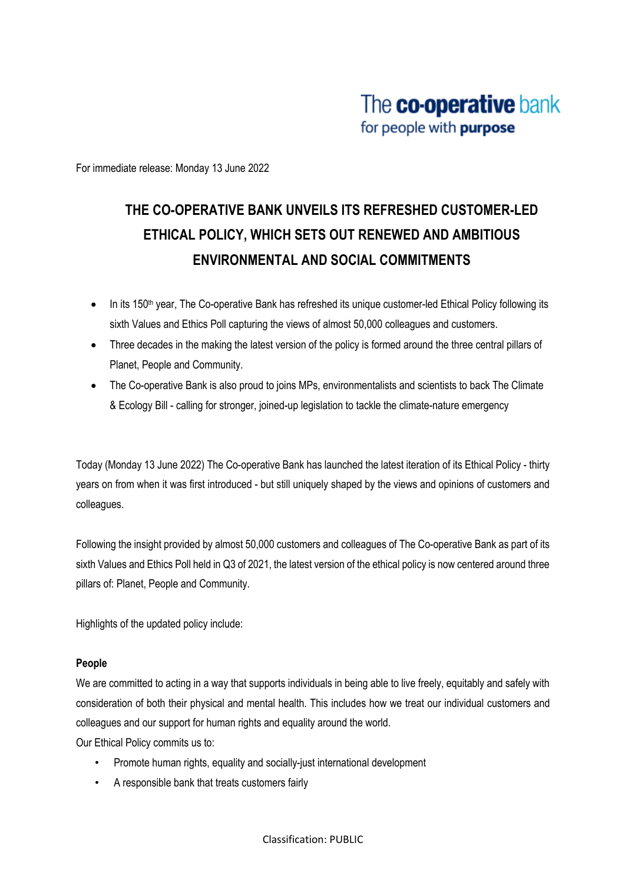For immediate release: Monday 13 June 2022

# **THE CO-OPERATIVE BANK UNVEILS ITS REFRESHED CUSTOMER-LED ETHICAL POLICY, WHICH SETS OUT RENEWED AND AMBITIOUS ENVIRONMENTAL AND SOCIAL COMMITMENTS**

- In its 150<sup>th</sup> year, The Co-operative Bank has refreshed its unique customer-led Ethical Policy following its sixth Values and Ethics Poll capturing the views of almost 50,000 colleagues and customers.
- Three decades in the making the latest version of the policy is formed around the three central pillars of Planet, People and Community.
- The Co-operative Bank is also proud to joins MPs, environmentalists and scientists to back The Climate & Ecology Bill - calling for stronger, joined-up legislation to tackle the climate-nature emergency

Today (Monday 13 June 2022) The Co-operative Bank has launched the latest iteration of its Ethical Policy - thirty years on from when it was first introduced - but still uniquely shaped by the views and opinions of customers and colleagues.

Following the insight provided by almost 50,000 customers and colleagues of The Co-operative Bank as part of its sixth Values and Ethics Poll held in Q3 of 2021, the latest version of the ethical policy is now centered around three pillars of: Planet, People and Community.

Highlights of the updated policy include:

# **People**

We are committed to acting in a way that supports individuals in being able to live freely, equitably and safely with consideration of both their physical and mental health. This includes how we treat our individual customers and colleagues and our support for human rights and equality around the world.

Our Ethical Policy commits us to:

- Promote human rights, equality and socially-just international development
- A responsible bank that treats customers fairly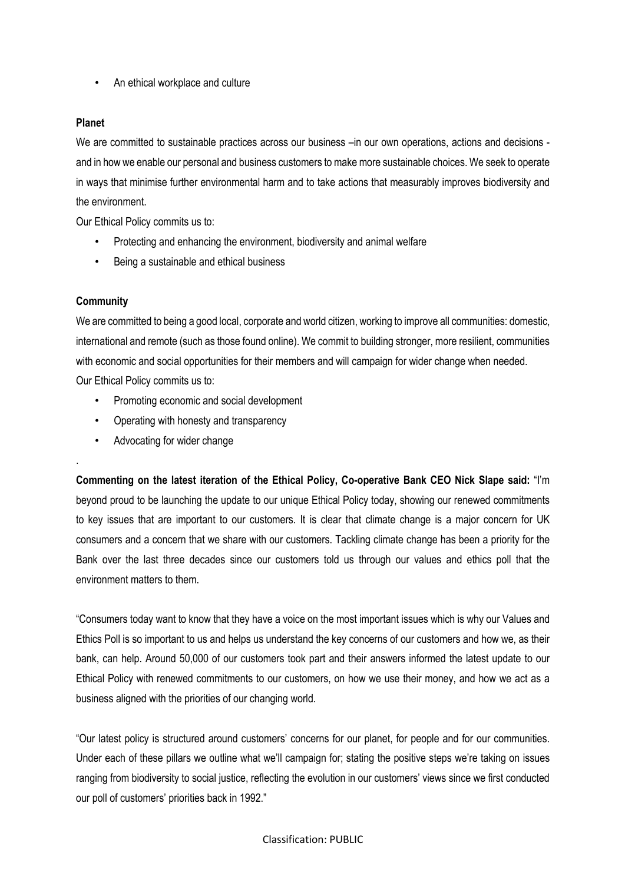• An ethical workplace and culture

## **Planet**

We are committed to sustainable practices across our business –in our own operations, actions and decisions and in how we enable our personal and business customers to make more sustainable choices. We seek to operate in ways that minimise further environmental harm and to take actions that measurably improves biodiversity and the environment.

Our Ethical Policy commits us to:

- Protecting and enhancing the environment, biodiversity and animal welfare
- Being a sustainable and ethical business

## **Community**

.

We are committed to being a good local, corporate and world citizen, working to improve all communities: domestic, international and remote (such as those found online). We commit to building stronger, more resilient, communities with economic and social opportunities for their members and will campaign for wider change when needed. Our Ethical Policy commits us to:

- Promoting economic and social development
- Operating with honesty and transparency
- Advocating for wider change

**Commenting on the latest iteration of the Ethical Policy, Co-operative Bank CEO Nick Slape said:** "I'm beyond proud to be launching the update to our unique Ethical Policy today, showing our renewed commitments to key issues that are important to our customers. It is clear that climate change is a major concern for UK consumers and a concern that we share with our customers. Tackling climate change has been a priority for the Bank over the last three decades since our customers told us through our values and ethics poll that the environment matters to them.

"Consumers today want to know that they have a voice on the most important issues which is why our Values and Ethics Poll is so important to us and helps us understand the key concerns of our customers and how we, as their bank, can help. Around 50,000 of our customers took part and their answers informed the latest update to our Ethical Policy with renewed commitments to our customers, on how we use their money, and how we act as a business aligned with the priorities of our changing world.

"Our latest policy is structured around customers' concerns for our planet, for people and for our communities. Under each of these pillars we outline what we'll campaign for; stating the positive steps we're taking on issues ranging from biodiversity to social justice, reflecting the evolution in our customers' views since we first conducted our poll of customers' priorities back in 1992."

#### Classification: PUBLIC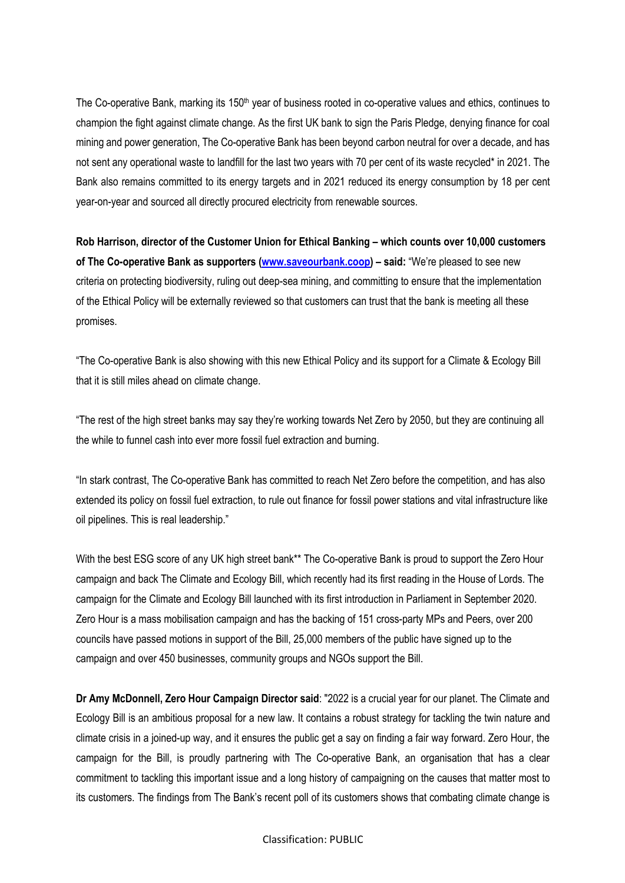The Co-operative Bank, marking its 150<sup>th</sup> year of business rooted in co-operative values and ethics, continues to champion the fight against climate change. As the first UK bank to sign the Paris Pledge, denying finance for coal mining and power generation, The Co-operative Bank has been beyond carbon neutral for over a decade, and has not sent any operational waste to landfill for the last two years with 70 per cent of its waste recycled\* in 2021. The Bank also remains committed to its energy targets and in 2021 reduced its energy consumption by 18 per cent year-on-year and sourced all directly procured electricity from renewable sources.

**Rob Harrison, director of the Customer Union for Ethical Banking – which counts over 10,000 customers of The Co-operative Bank as supporters (www.saveourbank.coop) – said:** "We're pleased to see new criteria on protecting biodiversity, ruling out deep-sea mining, and committing to ensure that the implementation of the Ethical Policy will be externally reviewed so that customers can trust that the bank is meeting all these promises.

"The Co-operative Bank is also showing with this new Ethical Policy and its support for a Climate & Ecology Bill that it is still miles ahead on climate change.

"The rest of the high street banks may say they're working towards Net Zero by 2050, but they are continuing all the while to funnel cash into ever more fossil fuel extraction and burning.

"In stark contrast, The Co-operative Bank has committed to reach Net Zero before the competition, and has also extended its policy on fossil fuel extraction, to rule out finance for fossil power stations and vital infrastructure like oil pipelines. This is real leadership."

With the best ESG score of any UK high street bank\*\* The Co-operative Bank is proud to support the Zero Hour campaign and back The Climate and Ecology Bill, which recently had its first reading in the House of Lords. The campaign for the Climate and Ecology Bill launched with its first introduction in Parliament in September 2020. Zero Hour is a mass mobilisation campaign and has the backing of 151 cross-party MPs and Peers, over 200 councils have passed motions in support of the Bill, 25,000 members of the public have signed up to the campaign and over 450 businesses, community groups and NGOs support the Bill.

**Dr Amy McDonnell, Zero Hour Campaign Director said**: "2022 is a crucial year for our planet. The Climate and Ecology Bill is an ambitious proposal for a new law. It contains a robust strategy for tackling the twin nature and climate crisis in a joined-up way, and it ensures the public get a say on finding a fair way forward. Zero Hour, the campaign for the Bill, is proudly partnering with The Co-operative Bank, an organisation that has a clear commitment to tackling this important issue and a long history of campaigning on the causes that matter most to its customers. The findings from The Bank's recent poll of its customers shows that combating climate change is